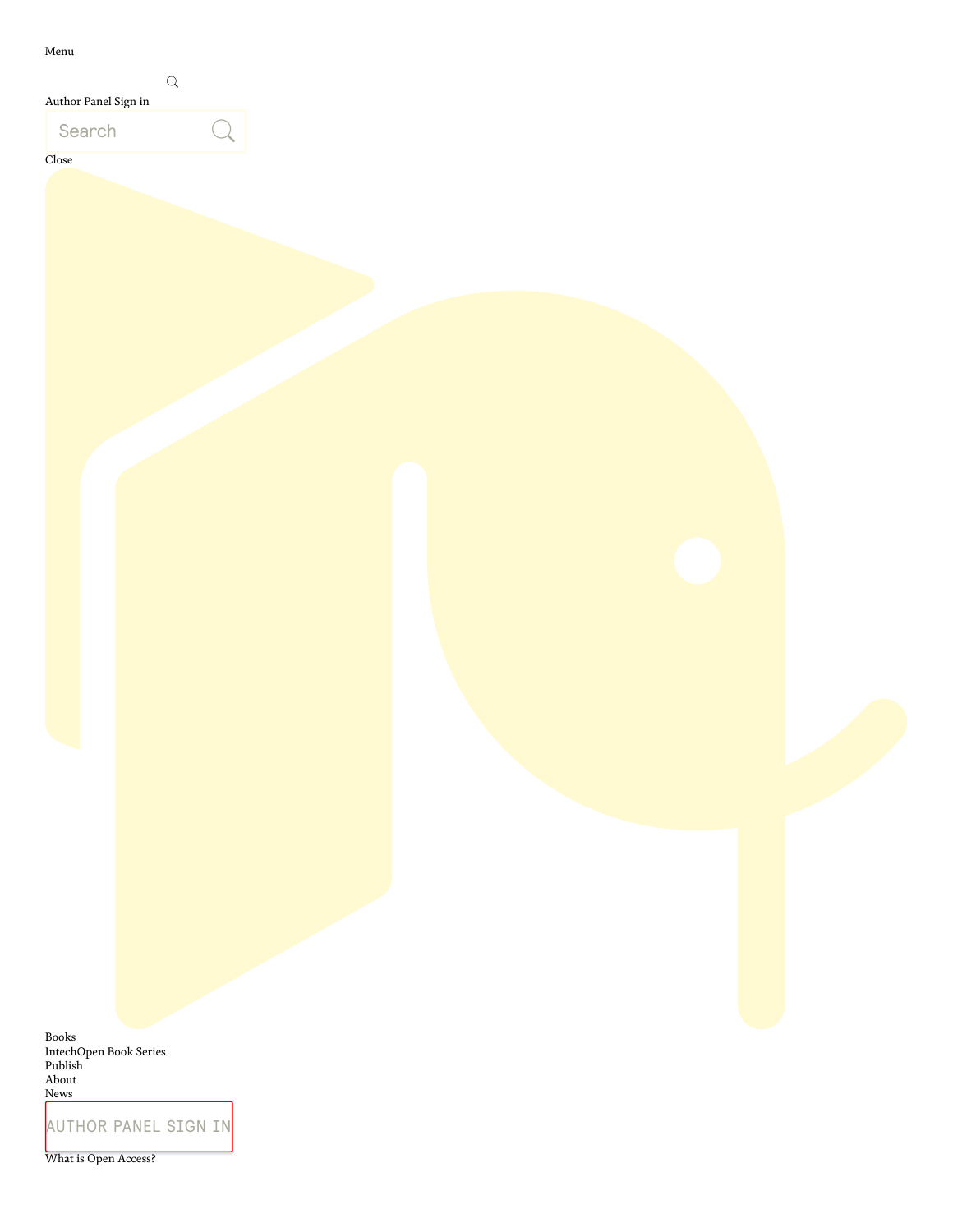Menu

| Author Panel Sign in |  |
|----------------------|--|
| Search               |  |

Close

[Books](https://www.intechopen.com/books) [IntechOpen](https://www.intechopen.com/series) Book Series [Publish](https://www.intechopen.com/publish) [About](https://www.intechopen.com/about-intechopen) [News](https://www.intechopen.com/news)

[AUTHOR](https://mts.intechopen.com/account/login) PANEL SIGN IN

What is Open [Access?](https://www.intechopen.com/how-open-access-publishing-with-intechopen-works)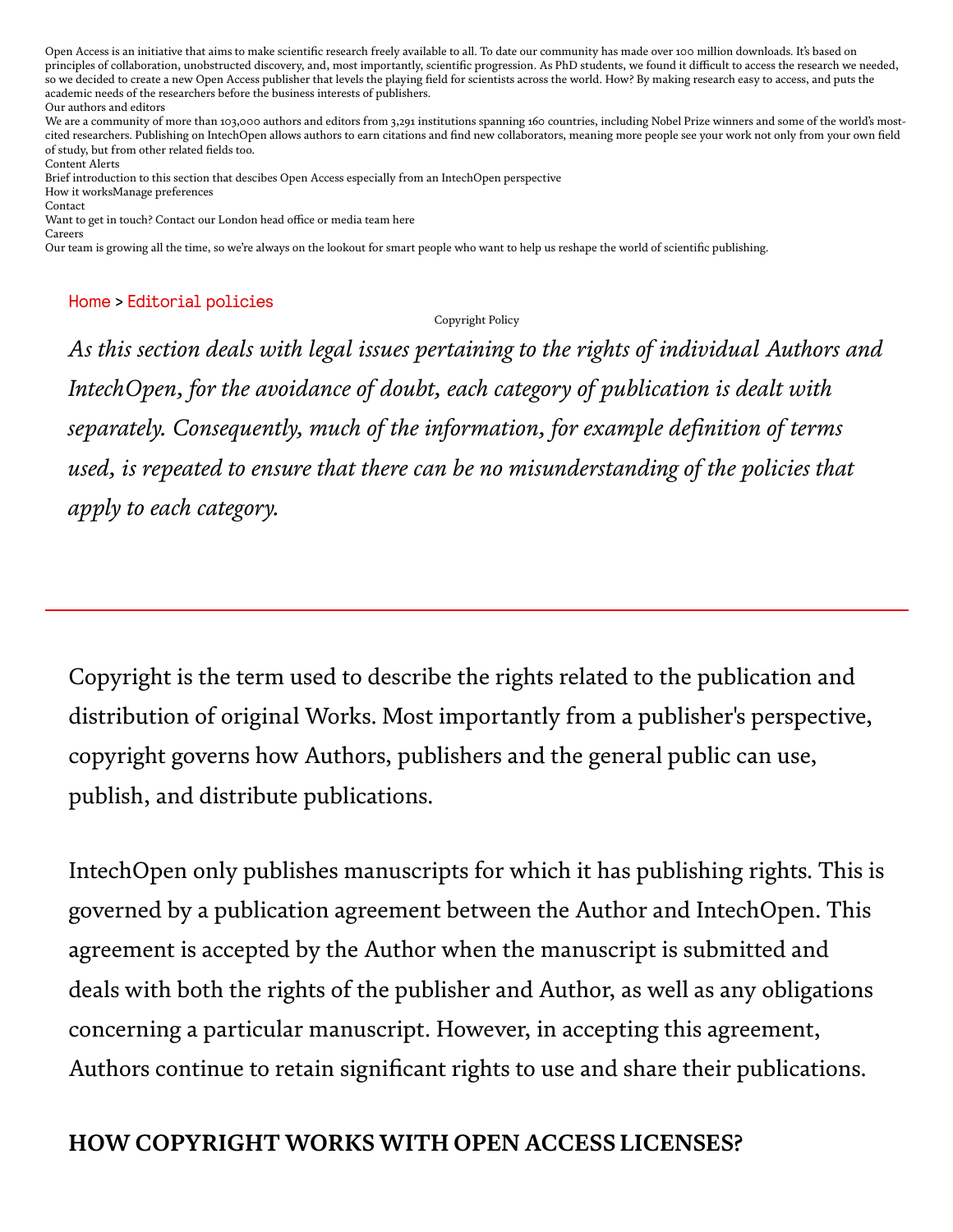Open Access is an initiative that aims to make scientific research freely available to all. To date our community has made over 100 million downloads. It's based on principles of collaboration, unobstructed discovery, and, most importantly, scientific progression. As PhD students, we found it difficult to access the research we needed, so we decided to create a new Open Access publisher that levels the playing field for scientists across the world. How? By making research easy to access, and puts the academic needs of the researchers before the business interests of publishers. Our [authors](https://www.intechopen.com/authors-and-editors) and editors

We are a community of more than 103,000 authors and editors from 3,291 institutions spanning 160 countries, including Nobel Prize winners and some of the world's mostcited researchers. Publishing on IntechOpen allows authors to earn citations and find new collaborators, meaning more people see your work not only from your own field of study, but from other related fields too.

[Content](https://www.intechopen.com/page/content-alerts) Alerts Brief introduction to this section that descibes Open Access especially from an IntechOpen perspective

How it [worksM](https://www.intechopen.com/how-open-access-publishing-with-intechopen-works)anage preferences

[Contact](https://www.intechopen.com/page/contact-us)

Want to get in touch? Contact our London head office or media team here [Careers](https://www.intechopen.com/page/careers-at-intechopen)

Our team is growing all the time, so we're always on the lookout for smart people who want to help us reshape the world of scientific publishing.

#### [Home](https://www.intechopen.com/) > [Editorial](https://www.intechopen.com/page/editorial-policies) policies

#### Copyright Policy

*As this section deals with legal issues pertaining to the rights of individual Authors and IntechOpen, for the avoidance of doubt, each category of publication is dealt with separately. Consequently, much of the information, for example definition of terms used, is repeated to ensure that there can be no misunderstanding of the policies that apply to each category.*

Copyright is the term used to describe the rights related to the publication and distribution of original Works. Most importantly from a publisher's perspective, copyright governs how Authors, publishers and the general public can use, publish, and distribute publications.

IntechOpen only publishes manuscripts for which it has publishing rights. This is governed by a publication agreement between the Author and IntechOpen. This agreement is accepted by the Author when the manuscript is submitted and deals with both the rights of the publisher and Author, as well as any obligations concerning a particular manuscript. However, in accepting this agreement, Authors continue to retain significant rights to use and share their publications.

#### HOW COPYRIGHT WORKS WITH OPEN ACCESS LICENSES?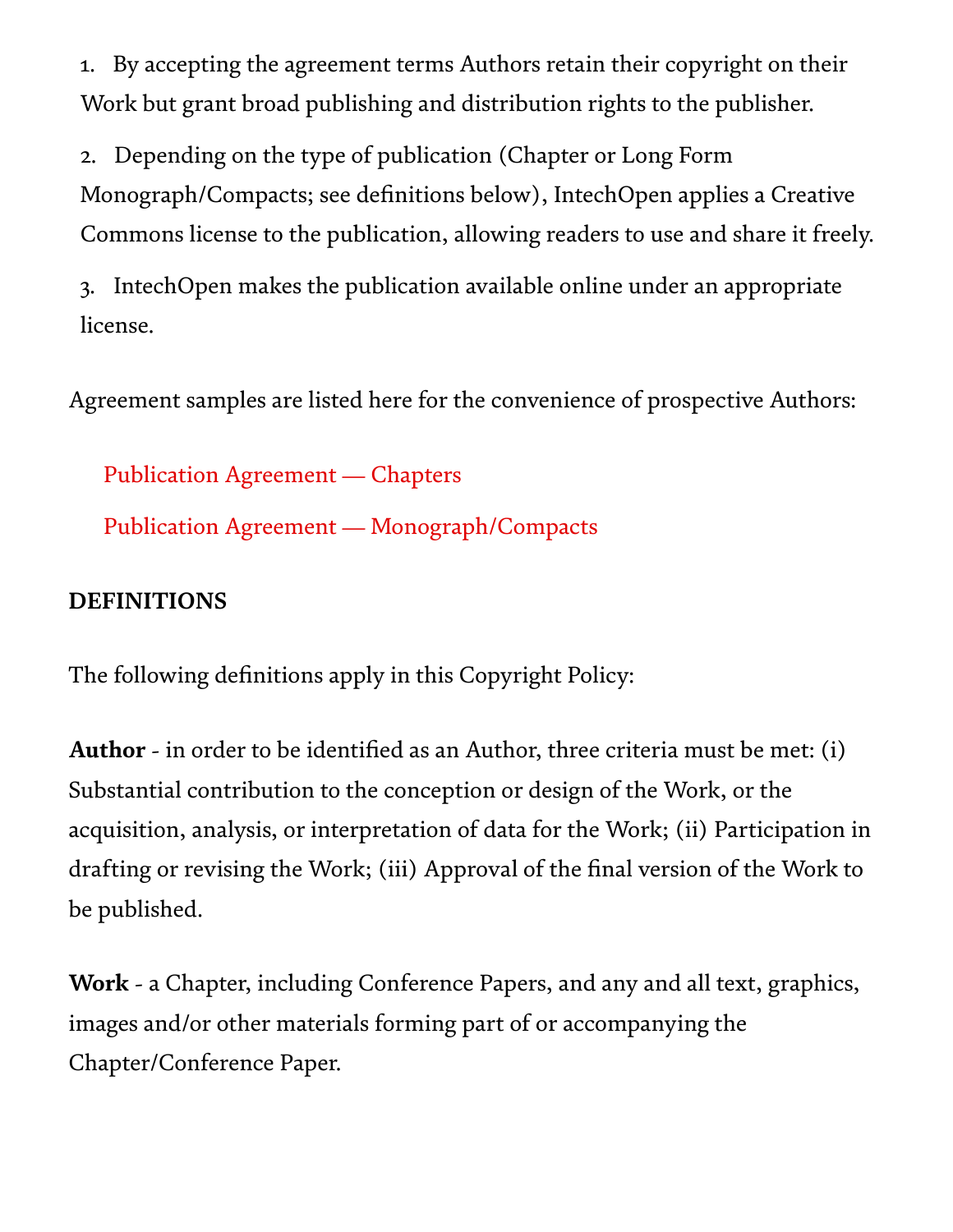1. By accepting the agreement terms Authors retain their copyright on their Work but grant broad publishing and distribution rights to the publisher.

2. Depending on the type of publication (Chapter or Long Form Monograph/Compacts; see definitions below), IntechOpen applies a Creative Commons license to the publication, allowing readers to use and share it freely.

3. IntechOpen makes the publication available online under an appropriate license.

Agreement samples are listed here for the convenience of prospective Authors:

Publication Agreement [— Chapters](https://www.intechopen.com/page/publication-agreement-chapters) Publication Agreement [— Monograph/Compacts](https://www.intechopen.com/page/publication-agreement-monograph/)

### DEFINITIONS

The following definitions apply in this Copyright Policy:

Author - in order to be identified as an Author, three criteria must be met: (i) Substantial contribution to the conception or design of the Work, or the acquisition, analysis, or interpretation of data for the Work; (ii) Participation in drafting or revising the Work; (iii) Approval of the final version of the Work to be published.

Work - a Chapter, including Conference Papers, and any and all text, graphics, images and/or other materials forming part of or accompanying the Chapter/Conference Paper.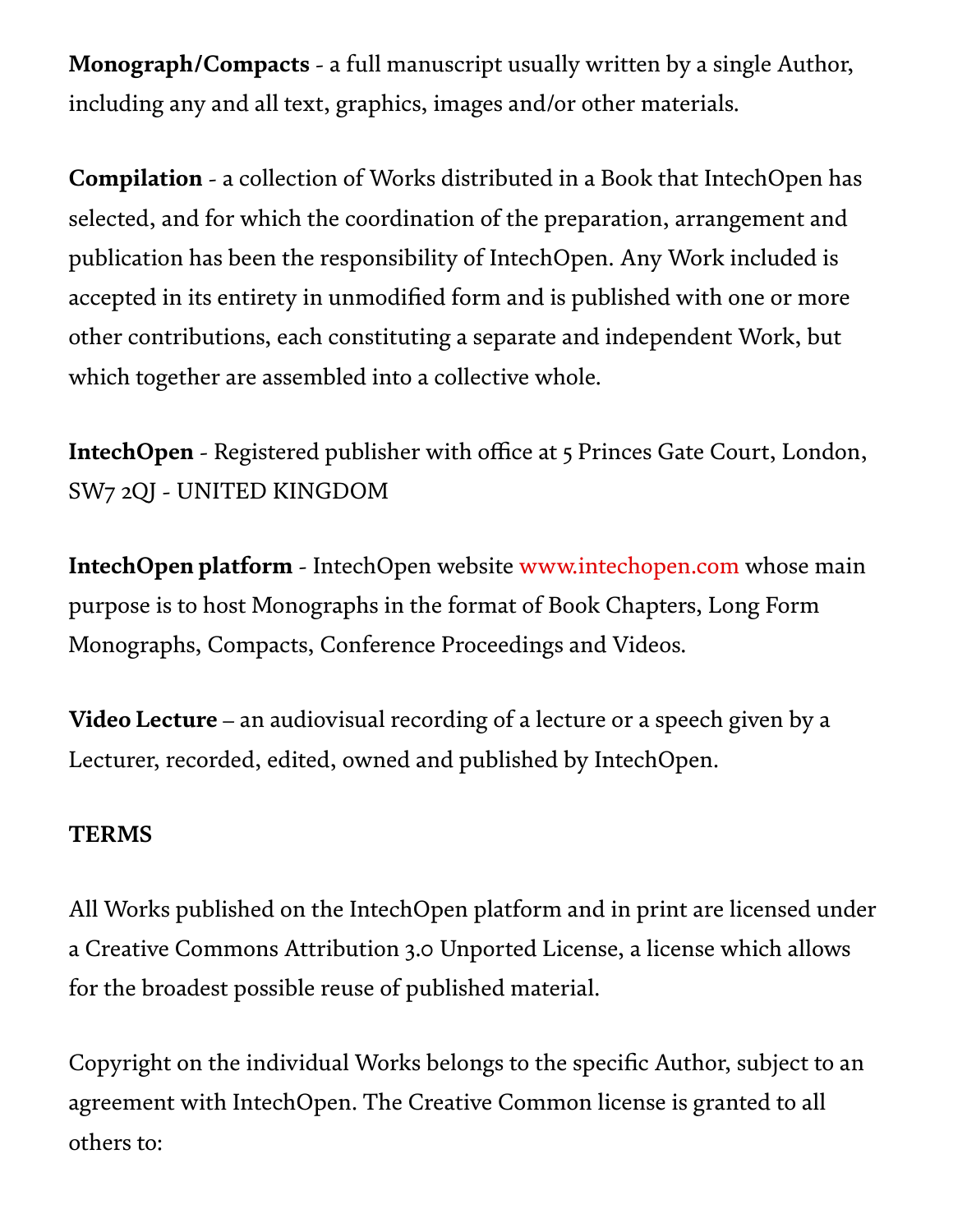Monograph/Compacts - a full manuscript usually written by a single Author, including any and all text, graphics, images and/or other materials.

Compilation - a collection of Works distributed in a Book that IntechOpen has selected, and for which the coordination of the preparation, arrangement and publication has been the responsibility of IntechOpen. Any Work included is accepted in its entirety in unmodified form and is published with one or more other contributions, each constituting a separate and independent Work, but which together are assembled into a collective whole.

IntechOpen - Registered publisher with office at 5 Princes Gate Court, London, SW7 2QJ - UNITED KINGDOM

IntechOpen platform - IntechOpen website [www.intechopen.com](https://www.intechopen.com/) whose main purpose is to host Monographs in the format of Book Chapters, Long Form Monographs, Compacts, Conference Proceedings and Videos.

Video Lecture – an audiovisual recording of a lecture or a speech given by a Lecturer, recorded, edited, owned and published by IntechOpen.

#### TERMS

All Works published on the IntechOpen platform and in print are licensed under a Creative Commons Attribution 3.0 Unported License, a license which allows for the broadest possible reuse of published material.

Copyright on the individual Works belongs to the specific Author, subject to an agreement with IntechOpen. The Creative Common license is granted to all others to: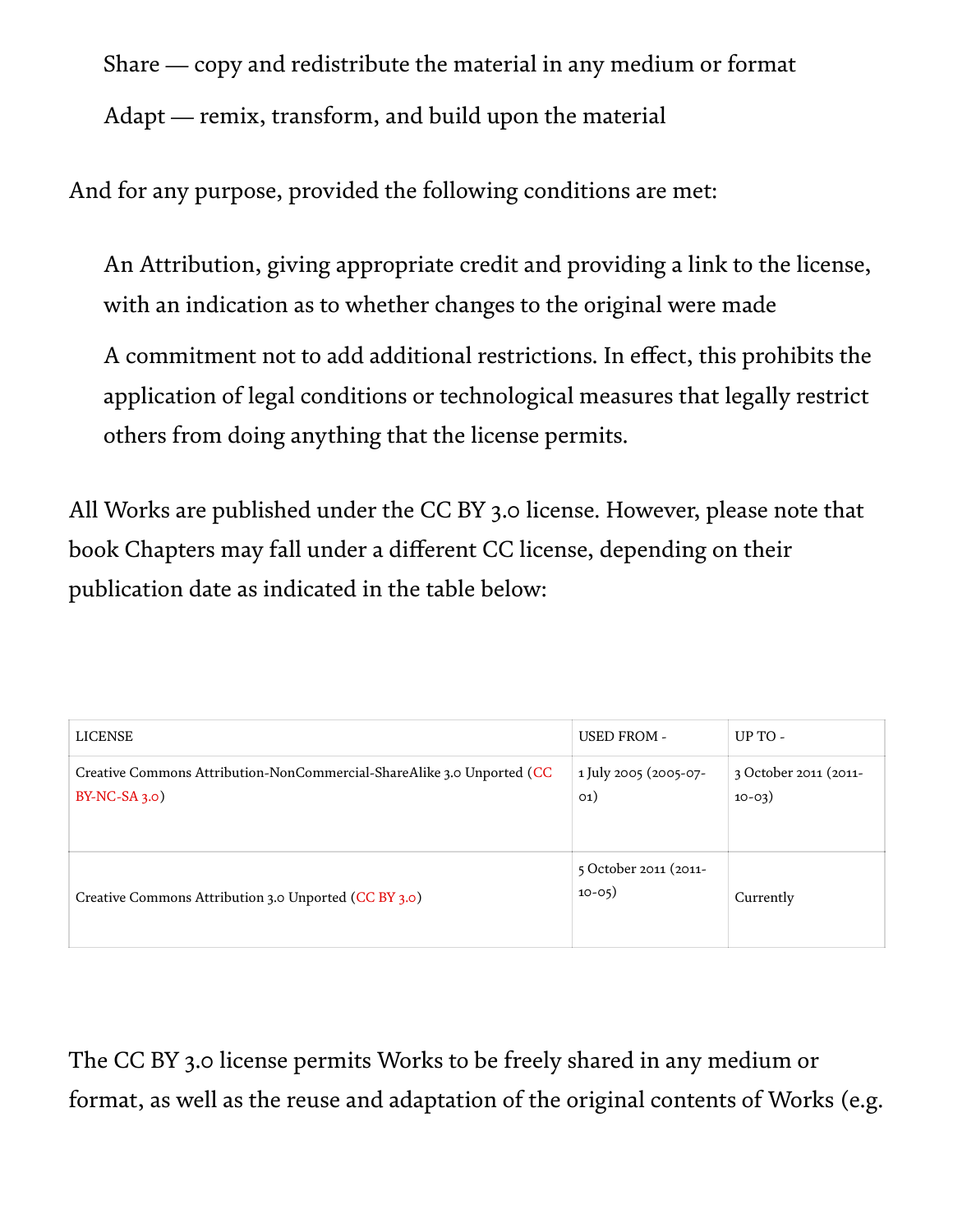Share — copy and redistribute the material in any medium or format Adapt — remix, transform, and build upon the material

And for any purpose, provided the following conditions are met:

An Attribution, giving appropriate credit and providing a link to the license, with an indication as to whether changes to the original were made

A commitment not to add additional restrictions. In effect, this prohibits the application of legal conditions or technological measures that legally restrict others from doing anything that the license permits.

All Works are published under the CC BY 3.0 license. However, please note that book Chapters may fall under a different CC license, depending on their publication date as indicated in the table below:

| <b>LICENSE</b>                                                                           | <b>USED FROM -</b>                | UP TO -                           |
|------------------------------------------------------------------------------------------|-----------------------------------|-----------------------------------|
| Creative Commons Attribution-NonCommercial-ShareAlike 3.0 Unported (CC<br>$BY-NC-SA_3.o$ | 1 July 2005 (2005-07-<br>O(1)     | 3 October 2011 (2011-<br>$10-03)$ |
| Creative Commons Attribution 3.0 Unported (CC BY 3.0)                                    | 5 October 2011 (2011-<br>$10-05)$ | Currently                         |

The CC BY 3.0 license permits Works to be freely shared in any medium or format, as well as the reuse and adaptation of the original contents of Works (e.g.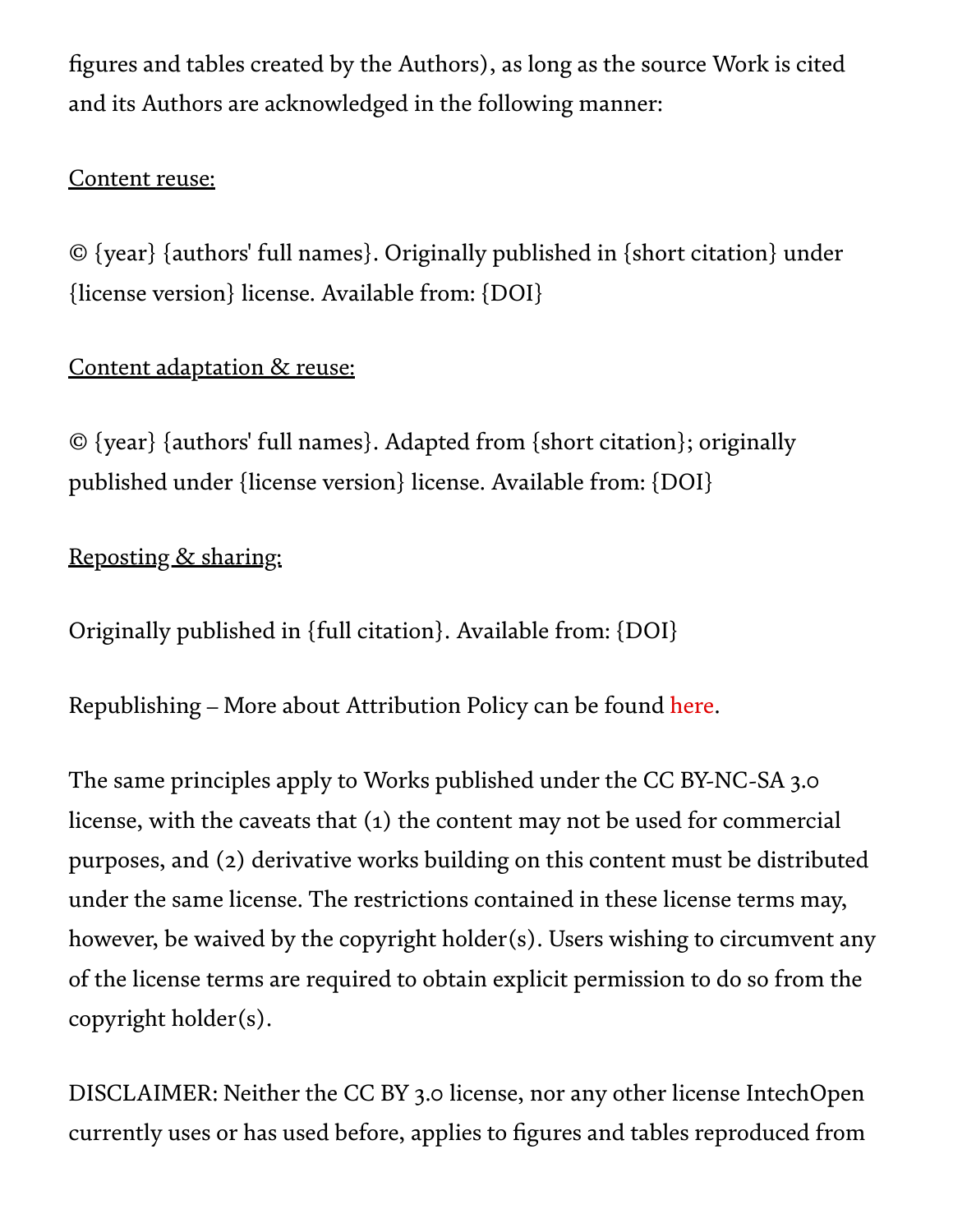figures and tables created by the Authors), as long as the source Work is cited and its Authors are acknowledged in the following manner:

#### Content reuse:

© {year} {authors' full names}. Originally published in {short citation} under {license version} license. Available from: {DOI}

## Content adaptation & reuse:

© {year} {authors' full names}. Adapted from {short citation}; originally published under {license version} license. Available from: {DOI}

### Reposting & sharing:

Originally published in {full citation}. Available from: {DOI}

Republishing – More about Attribution Policy can be found [here.](https://www.intechopen.com/page/attribution-policy)

The same principles apply to Works published under the CC BY-NC-SA 3.0 license, with the caveats that (1) the content may not be used for commercial purposes, and (2) derivative works building on this content must be distributed under the same license. The restrictions contained in these license terms may, however, be waived by the copyright holder(s). Users wishing to circumvent any of the license terms are required to obtain explicit permission to do so from the copyright holder(s).

DISCLAIMER: Neither the CC BY 3.0 license, nor any other license IntechOpen currently uses or has used before, applies to figures and tables reproduced from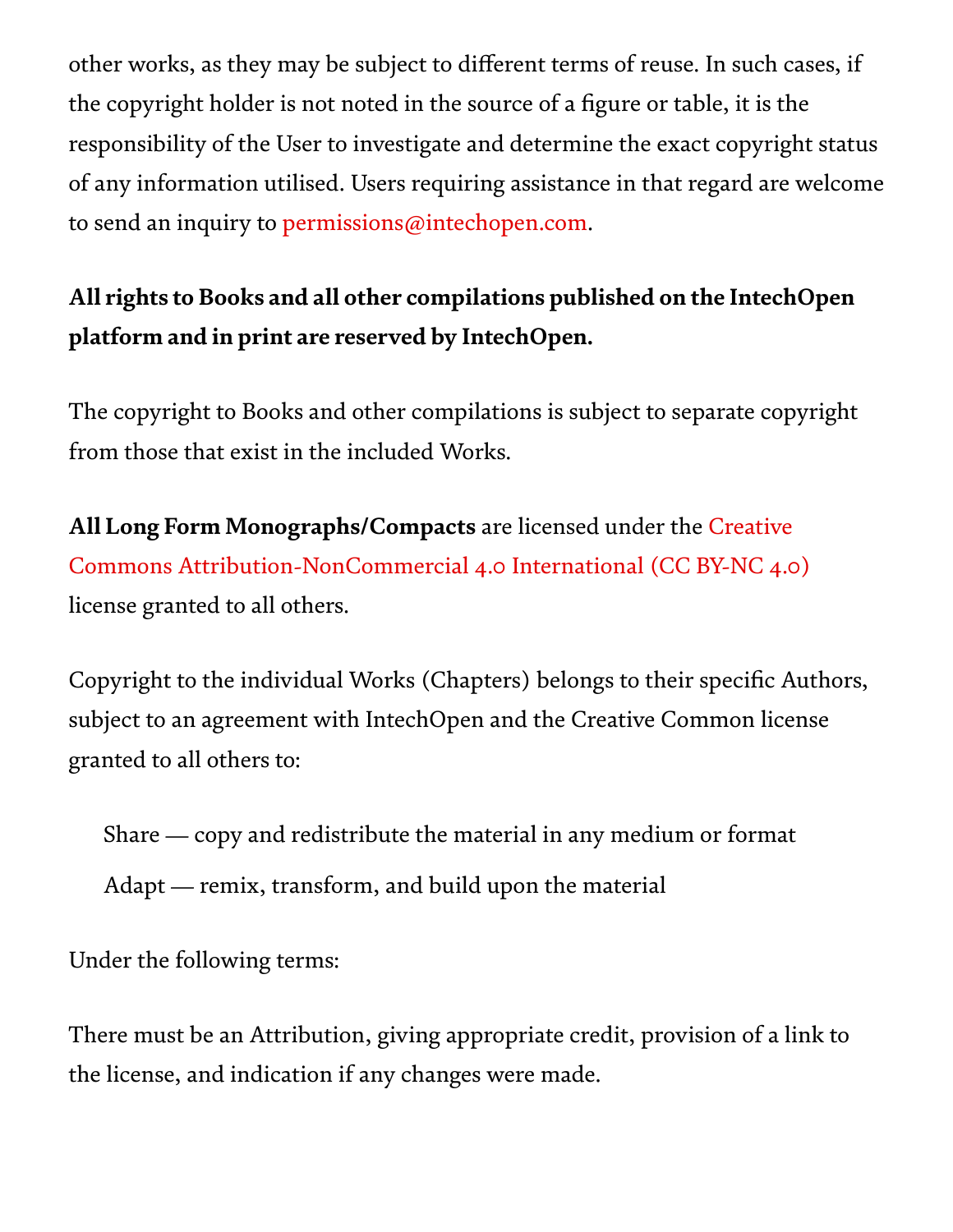other works, as they may be subject to different terms of reuse. In such cases, if the copyright holder is not noted in the source of a figure or table, it is the responsibility of the User to investigate and determine the exact copyright status of any information utilised. Users requiring assistance in that regard are welcome to send an inquiry to [permissions@intechopen.com.](http://permissions@intechopen.com/)

# All rights to Books and all other compilations published on the IntechOpen platform and in print are reserved by IntechOpen.

The copyright to Books and other compilations is subject to separate copyright from those that exist in the included Works.

All Long Form Monographs/Compacts are licensed under the Creative Commons [Attribution-NonCommercial](https://creativecommons.org/licenses/by-nc/4.0/) 4.0 International (CC BY-NC 4.0) license granted to all others.

Copyright to the individual Works (Chapters) belongs to their specific Authors, subject to an agreement with IntechOpen and the Creative Common license granted to all others to:

Share — copy and redistribute the material in any medium or format

Adapt — remix, transform, and build upon the material

Under the following terms:

There must be an Attribution, giving appropriate credit, provision of a link to the license, and indication if any changes were made.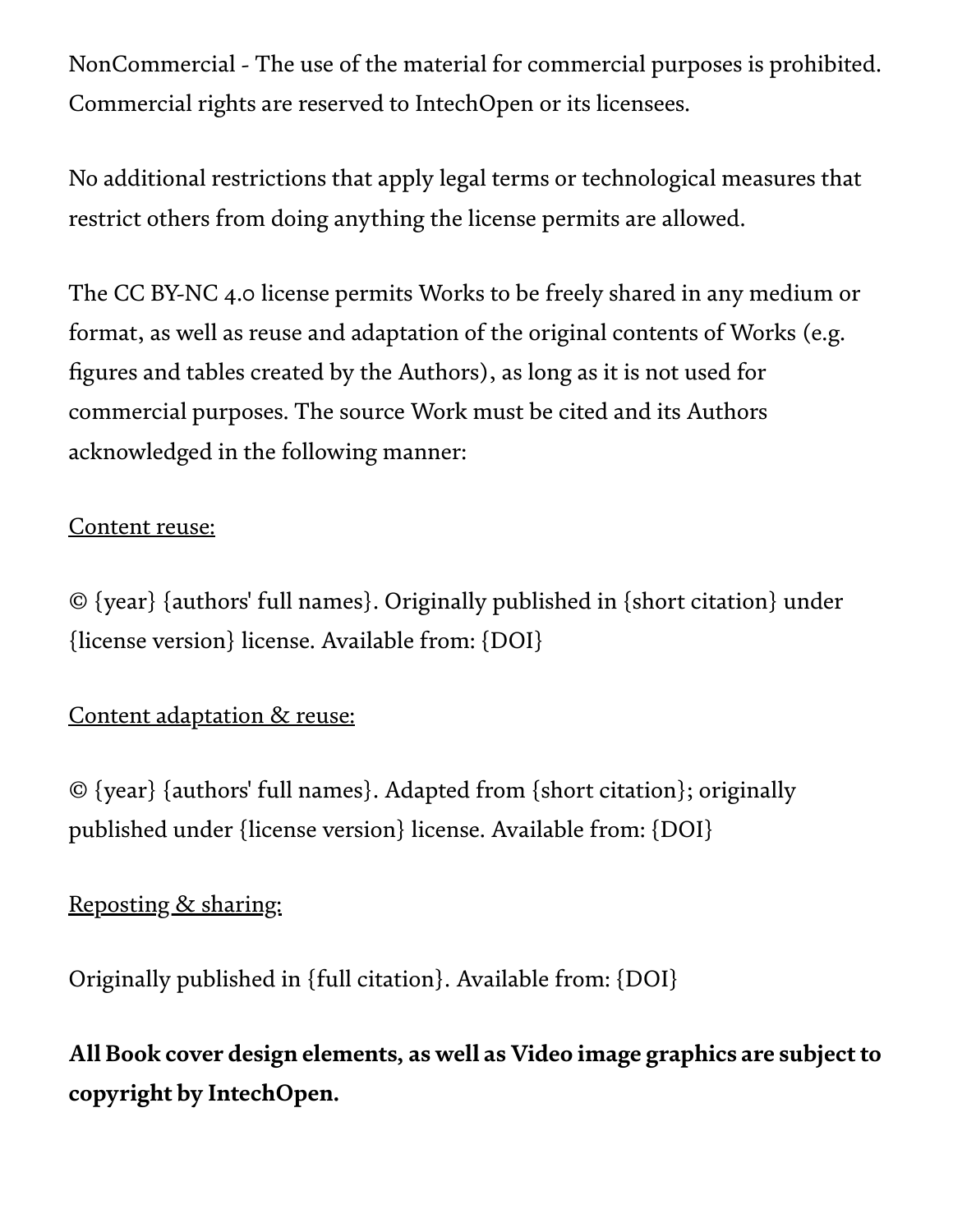NonCommercial - The use of the material for commercial purposes is prohibited. Commercial rights are reserved to IntechOpen or its licensees.

No additional restrictions that apply legal terms or technological measures that restrict others from doing anything the license permits are allowed.

The CC BY-NC 4.0 license permits Works to be freely shared in any medium or format, as well as reuse and adaptation of the original contents of Works (e.g. figures and tables created by the Authors), as long as it is not used for commercial purposes. The source Work must be cited and its Authors acknowledged in the following manner:

### Content reuse:

© {year} {authors' full names}. Originally published in {short citation} under {license version} license. Available from: {DOI}

### Content adaptation & reuse:

© {year} {authors' full names}. Adapted from {short citation}; originally published under {license version} license. Available from: {DOI}

## Reposting & sharing:

Originally published in {full citation}. Available from: {DOI}

# All Book cover design elements, as well as Video image graphics are subject to copyright by IntechOpen.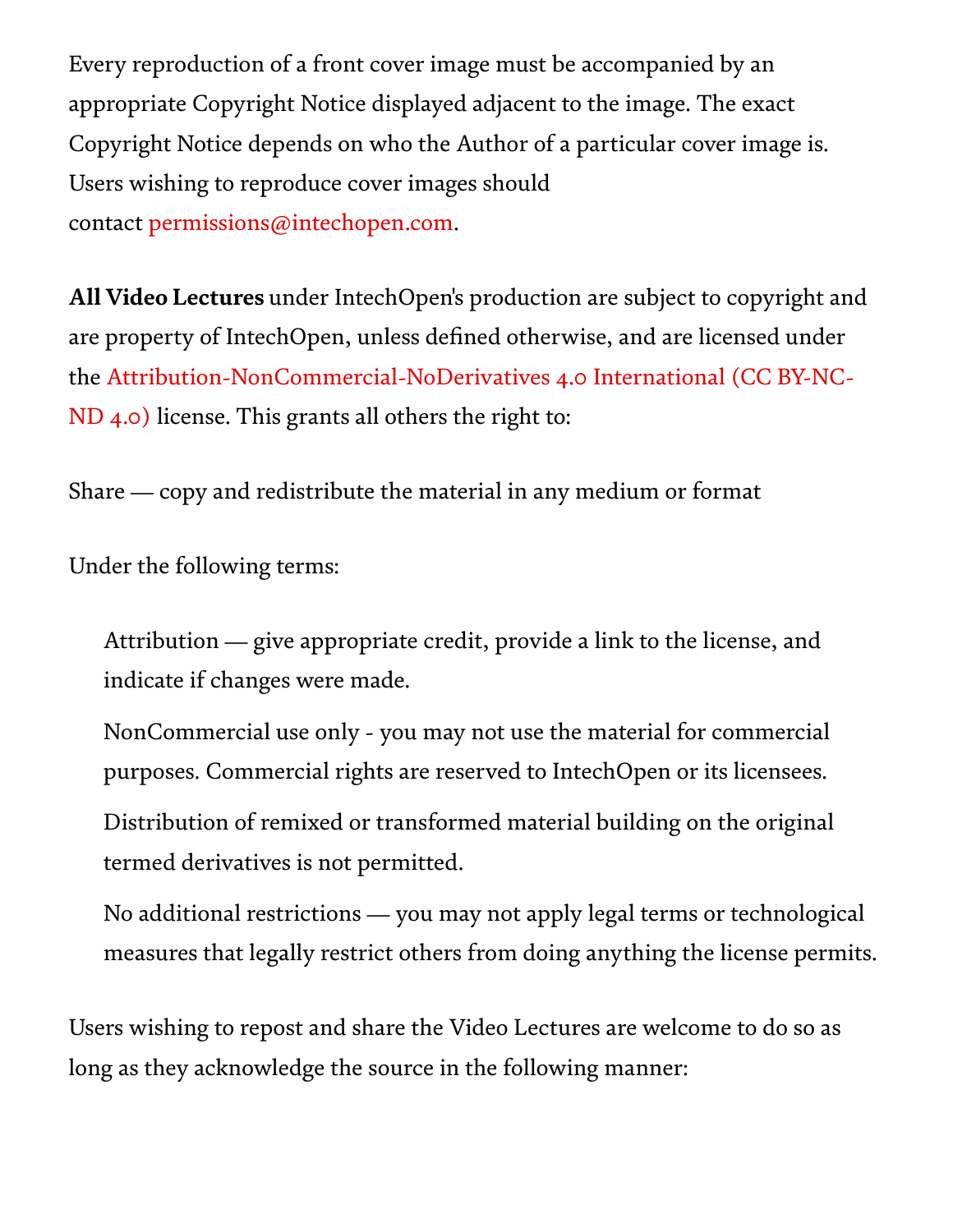Every reproduction of a front cover image must be accompanied by an appropriate Copyright Notice displayed adjacent to the image. The exact Copyright Notice depends on who the Author of a particular cover image is. Users wishing to reproduce cover images should contact [permissions@intechopen.com.](http://permissions@intechopen.com/)

All Video Lectures under IntechOpen's production are subject to copyright and are property of IntechOpen, unless defined otherwise, and are licensed under the [Attribution-NonCommercial-NoDerivatives](https://creativecommons.org/licenses/by-nc-nd/4.0/) 4.0 International (CC BY-NC-ND 4.0) license. This grants all others the right to:

Share — copy and redistribute the material in any medium or format

Under the following terms:

Attribution — give appropriate credit, provide a link to the license, and indicate if changes were made.

NonCommercial use only - you may not use the material for commercial purposes. Commercial rights are reserved to IntechOpen or its licensees.

Distribution of remixed or transformed material building on the original termed derivatives is not permitted.

No additional restrictions — you may not apply legal terms or technological measures that legally restrict others from doing anything the license permits.

Users wishing to repost and share the Video Lectures are welcome to do so as long as they acknowledge the source in the following manner: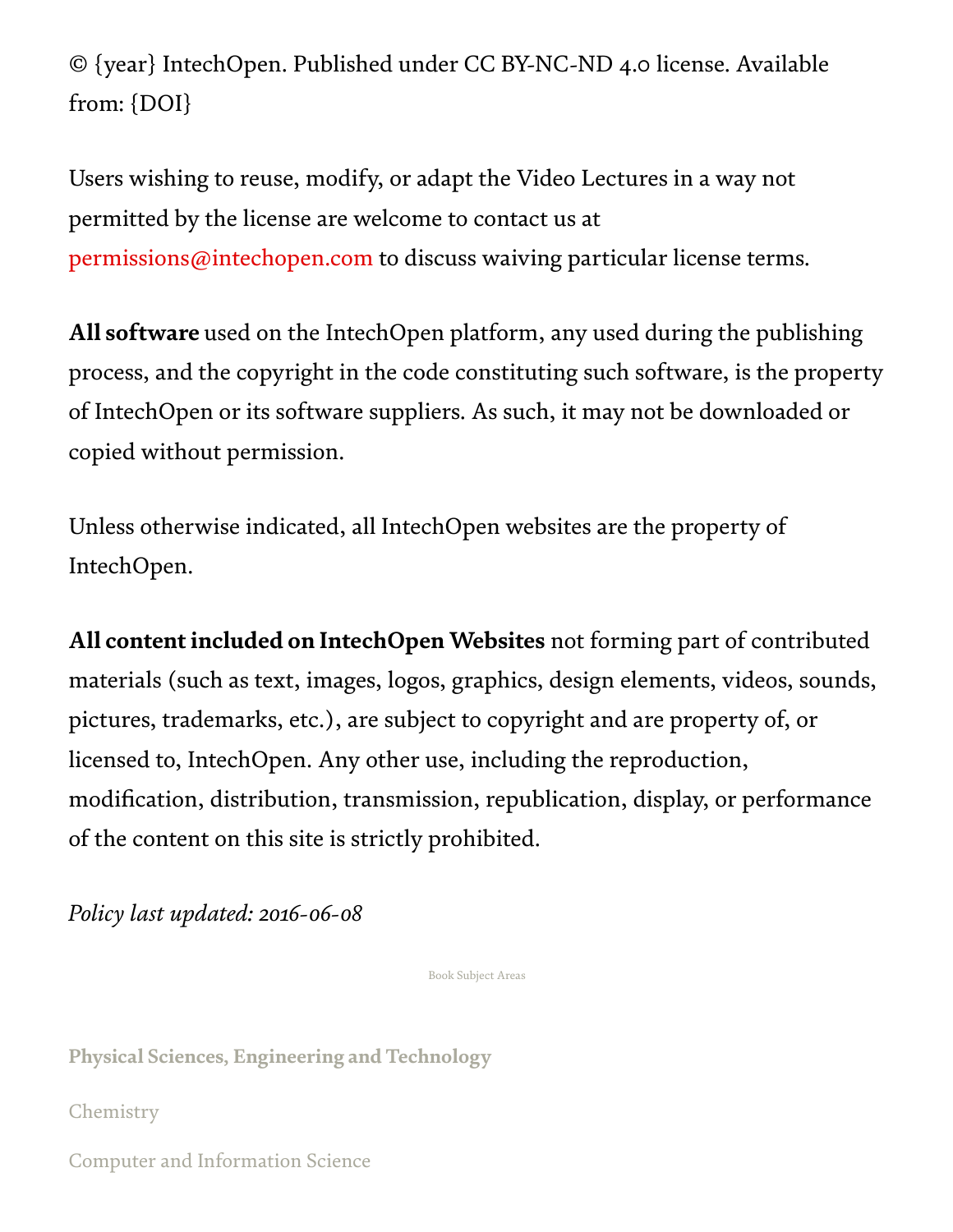© {year} IntechOpen. Published under CC BY-NC-ND 4.0 license. Available from: {DOI}

Users wishing to reuse, modify, or adapt the Video Lectures in a way not permitted by the license are welcome to contact us at [permissions@intechopen.com](http://permissions@intechopen.com/) to discuss waiving particular license terms.

All software used on the IntechOpen platform, any used during the publishing process, and the copyright in the code constituting such software, is the property of IntechOpen or its software suppliers. As such, it may not be downloaded or copied without permission.

Unless otherwise indicated, all IntechOpen websites are the property of IntechOpen.

All content included on IntechOpen Websites not forming part of contributed materials (such as text, images, logos, graphics, design elements, videos, sounds, pictures, trademarks, etc.), are subject to copyright and are property of, or licensed to, IntechOpen. Any other use, including the reproduction, modification, distribution, transmission, republication, display, or performance of the content on this site is strictly prohibited.

*Policy last updated: 2016-06-08*

Book Subject Areas

Physical Sciences, [Engineering](https://www.intechopen.com/subjects/1) and Technology

[Chemistry](https://www.intechopen.com/subjects/8)

Computer and [Information](https://www.intechopen.com/subjects/9) Science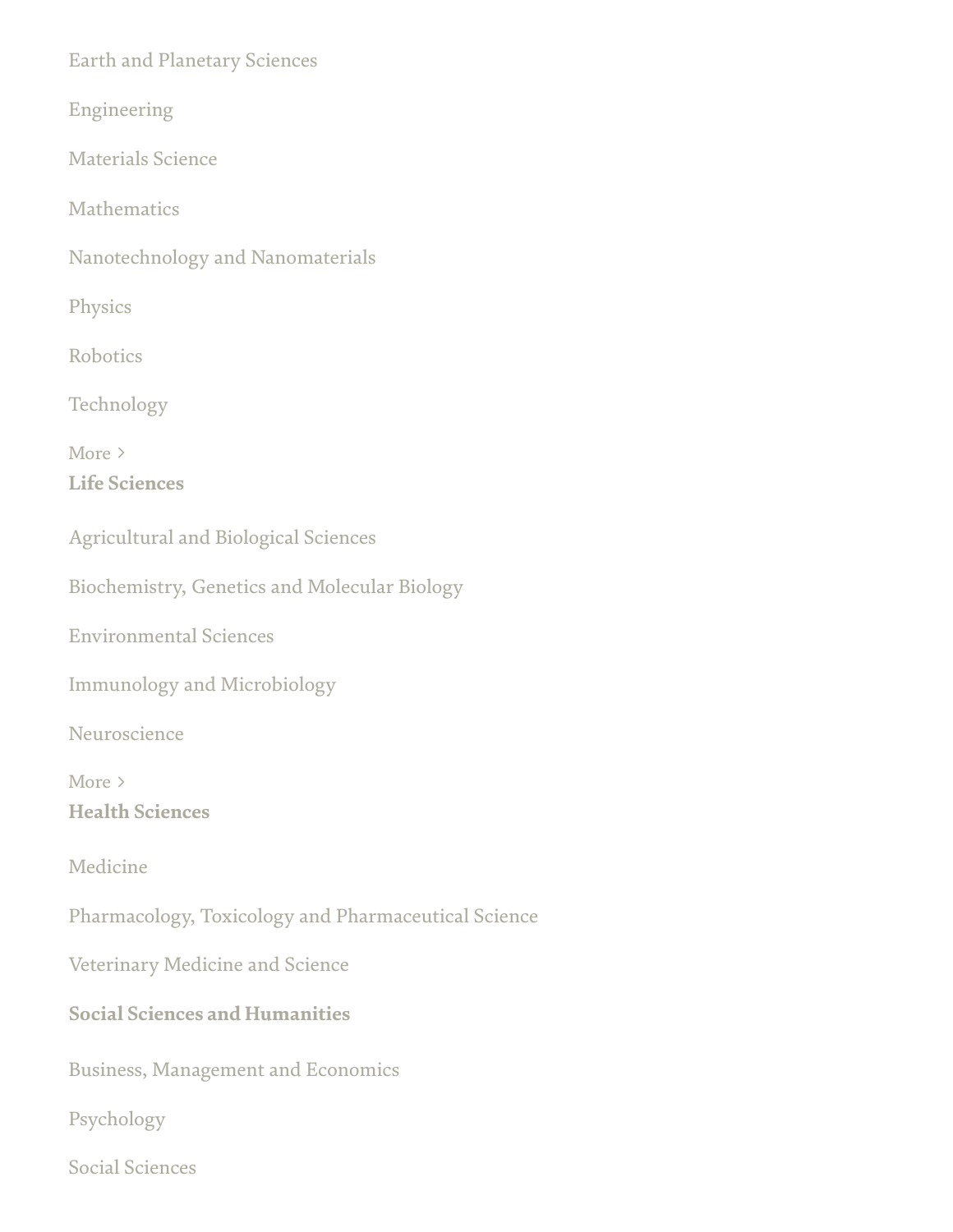Earth and [Planetary](https://www.intechopen.com/subjects/10) Sciences

[Engineering](https://www.intechopen.com/subjects/11)

[Materials](https://www.intechopen.com/subjects/14) Science

[Mathematics](https://www.intechopen.com/subjects/15)

[Nanotechnology](https://www.intechopen.com/subjects/17) and Nanomaterials

[Physics](https://www.intechopen.com/subjects/20)

[Robotics](https://www.intechopen.com/subjects/22)

[Technology](https://www.intechopen.com/subjects/24)

Life [Sciences](https://www.intechopen.com/subjects/2) More >

[Agricultural](https://www.intechopen.com/subjects/5) and Biological Sciences

[Biochemistry,](https://www.intechopen.com/subjects/6) Genetics and Molecular Biology

[Environmental](https://www.intechopen.com/subjects/12) Sciences

Immunology and [Microbiology](https://www.intechopen.com/subjects/13)

[Neuroscience](https://www.intechopen.com/subjects/18)

Health [Sciences](https://www.intechopen.com/subjects/3) More >

[Medicine](https://www.intechopen.com/subjects/16)

Pharmacology, Toxicology and [Pharmaceutical](https://www.intechopen.com/subjects/19) Science

Veterinary [Medicine and](https://www.intechopen.com/subjects/25) Science

#### Social Sciences and [Humanities](https://www.intechopen.com/subjects/4)

Business, [Management](https://www.intechopen.com/subjects/7) and Economics

[Psychology](https://www.intechopen.com/subjects/21)

Social [Sciences](https://www.intechopen.com/subjects/23)